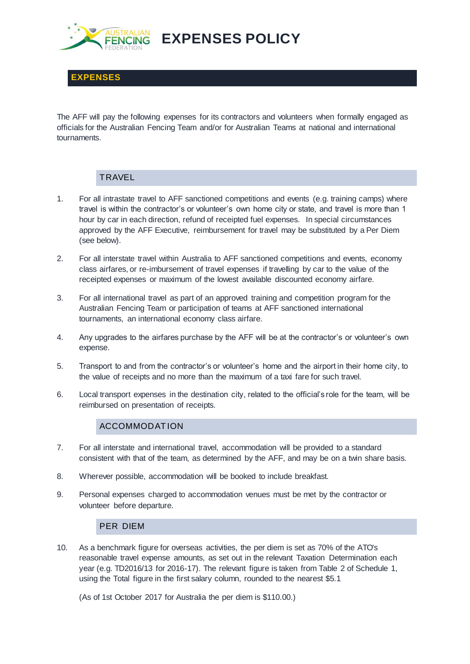

**EXPENSES POLICY**

**EXPENSES**

The AFF will pay the following expenses for its contractors and volunteers when formally engaged as officials for the Australian Fencing Team and/or for Australian Teams at national and international tournaments.

# **TRAVEL**

- 1. For all intrastate travel to AFF sanctioned competitions and events (e.g. training camps) where travel is within the contractor's or volunteer's own home city or state, and travel is more than 1 hour by car in each direction, refund of receipted fuel expenses. In special circumstances approved by the AFF Executive, reimbursement for travel may be substituted by a Per Diem (see below).
- 2. For all interstate travel within Australia to AFF sanctioned competitions and events, economy class airfares, or re-imbursement of travel expenses if travelling by car to the value of the receipted expenses or maximum of the lowest available discounted economy airfare.
- 3. For all international travel as part of an approved training and competition program for the Australian Fencing Team or participation of teams at AFF sanctioned international tournaments, an international economy class airfare.
- 4. Any upgrades to the airfares purchase by the AFF will be at the contractor's or volunteer's own expense.
- 5. Transport to and from the contractor's or volunteer's home and the airport in their home city, to the value of receipts and no more than the maximum of a taxi fare for such travel.
- 6. Local transport expenses in the destination city, related to the official's role for the team, will be reimbursed on presentation of receipts.

## ACCOMMODAT ION

- 7. For all interstate and international travel, accommodation will be provided to a standard consistent with that of the team, as determined by the AFF, and may be on a twin share basis.
- 8. Wherever possible, accommodation will be booked to include breakfast.
- 9. Personal expenses charged to accommodation venues must be met by the contractor or volunteer before departure.

#### PER DIEM

10. As a benchmark figure for overseas activities, the per diem is set as 70% of the ATO's reasonable travel expense amounts, as set out in the relevant Taxation Determination each year (e.g. TD2016/13 for 2016-17). The relevant figure is taken from Table 2 of Schedule 1, using the Total figure in the first salary column, rounded to the nearest \$5.1

(As of 1st October 2017 for Australia the per diem is \$110.00.)